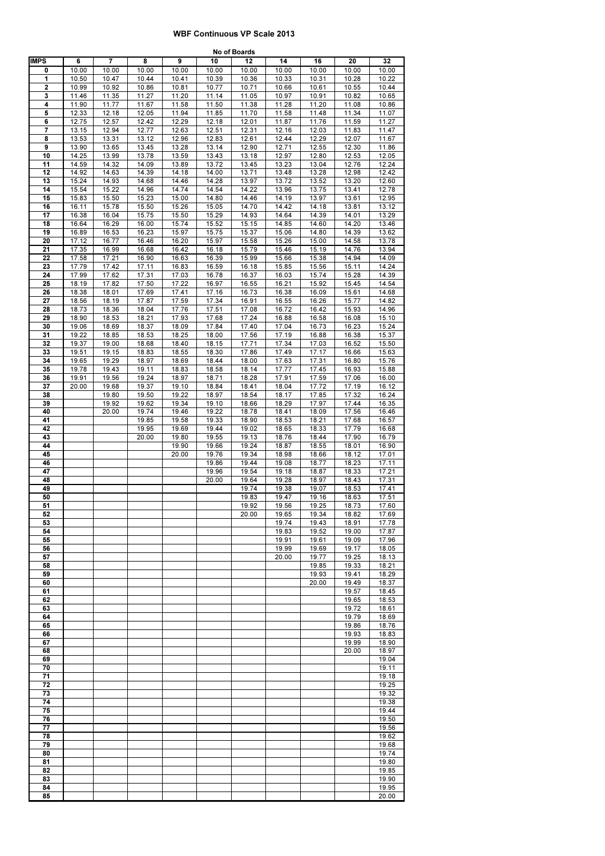## WBF Continuous VP Scale 2013

|             |       |                    |       |       |       | No of Boards |       |       |       |       |
|-------------|-------|--------------------|-------|-------|-------|--------------|-------|-------|-------|-------|
| <b>IMPS</b> | 6     | 7                  | 8     | 9     | 10    | 12           | 14    | 16    | 20    | 32    |
| 0           | 10.00 | 10.00              | 10.00 | 10.00 | 10.00 | 10.00        | 10.00 | 10.00 | 10.00 | 10.00 |
|             |       |                    |       |       |       |              |       |       |       |       |
| 1           | 10.50 | 10.47              | 10.44 | 10.41 | 10.39 | 10.36        | 10.33 | 10.31 | 10.28 | 10.22 |
| 2           | 10.99 | 10.92              | 10.86 | 10.81 | 10.77 | 10.71        | 10.66 | 10.61 | 10.55 | 10.44 |
| 3           | 11.46 | 11.35              | 11.27 | 11.20 | 11.14 | 11.05        | 10.97 | 10.91 | 10.82 | 10.65 |
| 4           | 11.90 | 11.77              | 11.67 | 11.58 | 11.50 | 11.38        | 11.28 | 11.20 | 11.08 | 10.86 |
| 5           | 12.33 | 12.18              | 12.05 | 11.94 | 11.85 | 11.70        | 11.58 | 11.48 | 11.34 | 11.07 |
| 6           | 12.75 | 12.57              | 12.42 | 12.29 | 12.18 | 12.01        | 11.87 | 11.76 | 11.59 | 11.27 |
|             |       |                    |       |       |       |              |       |       |       |       |
| 7           | 13.15 | 12.94              | 12.77 | 12.63 | 12.51 | 12.31        | 12.16 | 12.03 | 11.83 | 11.47 |
| 8           | 13.53 | 13.31              | 13.12 | 12.96 | 12.83 | 12.61        | 12.44 | 12.29 | 12.07 | 11.67 |
| 9           | 13.90 | 13.65              | 13.45 | 13.28 | 13.14 | 12.90        | 12.71 | 12.55 | 12.30 | 11.86 |
| 10          | 14.25 | 13.99              | 13.78 | 13.59 | 13.43 | 13.18        | 12.97 | 12.80 | 12.53 | 12.05 |
| 11          | 14.59 | 14.32              | 14.09 |       | 13.72 | 13.45        | 13.23 | 13.04 | 12.76 | 12.24 |
|             |       |                    |       | 13.89 |       |              |       |       |       |       |
| 12          | 14.92 | 14.63              | 14.39 | 14.18 | 14.00 | 13.71        | 13.48 | 13.28 | 12.98 | 12.42 |
| 13          | 15.24 | 14.93              | 14.68 | 14.46 | 14.28 | 13.97        | 13.72 | 13.52 | 13.20 | 12.60 |
| 14          | 15.54 | 15.22              | 14.96 | 14.74 | 14.54 | 14.22        | 13.96 | 13.75 | 13.41 | 12.78 |
| 15          | 15.83 | 15.50              | 15.23 | 15.00 | 14.80 | 14.46        | 14.19 | 13.97 | 13.61 | 12.95 |
| 16          | 16.11 | 15.78              | 15.50 | 15.26 | 15.05 | 14.70        | 14.42 | 14.18 | 13.81 | 13.12 |
|             |       |                    |       |       |       |              |       |       |       |       |
| 17          | 16.38 | 16.04              | 15.75 | 15.50 | 15.29 | 14.93        | 14.64 | 14.39 | 14.01 | 13.29 |
| 18          | 16.64 | 16.29              | 16.00 | 15.74 | 15.52 | 15.15        | 14.85 | 14.60 | 14.20 | 13.46 |
| 19          | 16.89 | 16.53              | 16.23 | 15.97 | 15.75 | 15.37        | 15.06 | 14.80 | 14.39 | 13.62 |
| 20          | 17.12 | 16.77              | 16.46 | 16.20 | 15.97 | 15.58        | 15.26 | 15.00 | 14.58 | 13.78 |
| 21          | 17.35 | 16.99              | 16.68 | 16.42 | 16.18 | 15.79        | 15.46 | 15.19 | 14.76 | 13.94 |
| 22          | 17.58 | $\overline{17.21}$ |       |       | 16.39 |              |       |       |       |       |
|             |       |                    | 16.90 | 16.63 |       | 15.99        | 15.66 | 15.38 | 14.94 | 14.09 |
| 23          | 17.79 | 17.42              | 17.11 | 16.83 | 16.59 | 16.18        | 15.85 | 15.56 | 15.11 | 14.24 |
| 24          | 17.99 | 17.62              | 17.31 | 17.03 | 16.78 | 16.37        | 16.03 | 15.74 | 15.28 | 14.39 |
| 25          | 18.19 | 17.82              | 17.50 | 17.22 | 16.97 | 16.55        | 16.21 | 15.92 | 15.45 | 14.54 |
| 26          | 18.38 | 18.01              | 17.69 | 17.41 | 17.16 | 16.73        | 16.38 | 16.09 | 15.61 | 14.68 |
| 27          | 18.56 | 18.19              | 17.87 | 17.59 | 17.34 | 16.91        | 16.55 | 16.26 | 15.77 | 14.82 |
|             |       |                    |       |       |       |              | 16.72 | 16.42 | 15.93 |       |
| 28          | 18.73 | 18.36              | 18.04 | 17.76 | 17.51 | 17.08        |       |       |       | 14.96 |
| 29          | 18.90 | 18.53              | 18.21 | 17.93 | 17.68 | 17.24        | 16.88 | 16.58 | 16.08 | 15.10 |
| 30          | 19.06 | 18.69              | 18.37 | 18.09 | 17.84 | 17.40        | 17.04 | 16.73 | 16.23 | 15.24 |
| 31          | 19.22 | 18.85              | 18.53 | 18.25 | 18.00 | 17.56        | 17.19 | 16.88 | 16.38 | 15.37 |
| 32          | 19.37 | 19.00              | 18.68 | 18.40 | 18.15 | 17.71        | 17.34 | 17.03 | 16.52 | 15.50 |
| 33          | 19.51 | 19.15              | 18.83 | 18.55 | 18.30 | 17.86        | 17.49 | 17.17 | 16.66 | 15.63 |
|             |       |                    |       |       |       |              |       |       |       |       |
| 34          | 19.65 | 19.29              | 18.97 | 18.69 | 18.44 | 18.00        | 17.63 | 17.31 | 16.80 | 15.76 |
| 35          | 19.78 | 19.43              | 19.11 | 18.83 | 18.58 | 18.14        | 17.77 | 17.45 | 16.93 | 15.88 |
| 36          | 19.91 | 19.56              | 19.24 | 18.97 | 18.71 | 18.28        | 17.91 | 17.59 | 17.06 | 16.00 |
| 37          | 20.00 | 19.68              | 19.37 | 19.10 | 18.84 | 18.41        | 18.04 | 17.72 | 17.19 | 16.12 |
| 38          |       | 19.80              | 19.50 | 19.22 | 18.97 | 18.54        | 18.17 | 17.85 | 17.32 | 16.24 |
| 39          |       | 19.92              | 19.62 | 19.34 | 19.10 | 18.66        | 18.29 | 17.97 | 17.44 | 16.35 |
|             |       |                    |       |       |       |              |       |       |       |       |
| 40          |       | 20.00              | 19.74 | 19.46 | 19.22 | 18.78        | 18.41 | 18.09 | 17.56 | 16.46 |
| 41          |       |                    | 19.85 | 19.58 | 19.33 | 18.90        | 18.53 | 18.21 | 17.68 | 16.57 |
| 42          |       |                    | 19.95 | 19.69 | 19.44 | 19.02        | 18.65 | 18.33 | 17.79 | 16.68 |
| 43          |       |                    | 20.00 | 19.80 | 19.55 | 19.13        | 18.76 | 18.44 | 17.90 | 16.79 |
| 44          |       |                    |       | 19.90 | 19.66 | 19.24        | 18.87 | 18.55 | 18.01 | 16.90 |
|             |       |                    |       |       |       |              |       |       |       |       |
| 45          |       |                    |       | 20.00 | 19.76 | 19.34        | 18.98 | 18.66 | 18.12 | 17.01 |
| 46          |       |                    |       |       | 19.86 | 19.44        | 19.08 | 18.77 | 18.23 | 17.11 |
| 47          |       |                    |       |       | 19.96 | 19.54        | 19.18 | 18.87 | 18.33 | 17.21 |
| 48          |       |                    |       |       | 20.00 | 19.64        | 19.28 | 18.97 | 18.43 | 17.31 |
| 49          |       |                    |       |       |       | 19.74        | 19.38 | 19.07 | 18.53 | 17.41 |
| 50          |       |                    |       |       |       | 19.83        | 19.47 | 19.16 | 18.63 | 17.51 |
|             |       |                    |       |       |       |              |       |       |       |       |
| 51          |       |                    |       |       |       | 19.92        | 19.56 | 19.25 | 18.73 | 17.60 |
| 52          |       |                    |       |       |       | 20.00        | 19.65 | 19.34 | 18.82 | 17.69 |
| 53          |       |                    |       |       |       |              | 19.74 | 19.43 | 18.91 | 17.78 |
| 54          |       |                    |       |       |       |              | 19.83 | 19.52 | 19.00 | 17.87 |
| 55          |       |                    |       |       |       |              | 19.91 | 19.61 | 19.09 | 17.96 |
| 56          |       |                    |       |       |       |              | 19.99 | 19.69 | 19.17 | 18.05 |
| 57          |       |                    |       |       |       |              | 20.00 | 19.77 | 19.25 | 18.13 |
|             |       |                    |       |       |       |              |       |       |       |       |
| 58          |       |                    |       |       |       |              |       | 19.85 | 19.33 | 18.21 |
| 59          |       |                    |       |       |       |              |       | 19.93 | 19.41 | 18.29 |
| 60          |       |                    |       |       |       |              |       | 20.00 | 19.49 | 18.37 |
| 61          |       |                    |       |       |       |              |       |       | 19.57 | 18.45 |
| 62          |       |                    |       |       |       |              |       |       | 19.65 | 18.53 |
| 63          |       |                    |       |       |       |              |       |       | 19.72 | 18.61 |
| 64          |       |                    |       |       |       |              |       |       | 19.79 | 18.69 |
|             |       |                    |       |       |       |              |       |       |       |       |
| 65          |       |                    |       |       |       |              |       |       | 19.86 | 18.76 |
| 66          |       |                    |       |       |       |              |       |       | 19.93 | 18.83 |
| 67          |       |                    |       |       |       |              |       |       | 19.99 | 18.90 |
| 68          |       |                    |       |       |       |              |       |       | 20.00 | 18.97 |
| 69          |       |                    |       |       |       |              |       |       |       | 19.04 |
| 70          |       |                    |       |       |       |              |       |       |       | 19.11 |
|             |       |                    |       |       |       |              |       |       |       |       |
| 71          |       |                    |       |       |       |              |       |       |       | 19.18 |
| 72          |       |                    |       |       |       |              |       |       |       | 19.25 |
| 73          |       |                    |       |       |       |              |       |       |       | 19.32 |
| 74          |       |                    |       |       |       |              |       |       |       | 19.38 |
| 75          |       |                    |       |       |       |              |       |       |       | 19.44 |
| 76          |       |                    |       |       |       |              |       |       |       | 19.50 |
|             |       |                    |       |       |       |              |       |       |       |       |
| 77          |       |                    |       |       |       |              |       |       |       | 19.56 |
| 78          |       |                    |       |       |       |              |       |       |       | 19.62 |
| 79          |       |                    |       |       |       |              |       |       |       | 19.68 |
| 80          |       |                    |       |       |       |              |       |       |       | 19.74 |
| 81          |       |                    |       |       |       |              |       |       |       | 19.80 |
| 82          |       |                    |       |       |       |              |       |       |       | 19.85 |
|             |       |                    |       |       |       |              |       |       |       |       |
| 83          |       |                    |       |       |       |              |       |       |       | 19.90 |
| 84          |       |                    |       |       |       |              |       |       |       | 19.95 |
| 85          |       |                    |       |       |       |              |       |       |       | 20.00 |